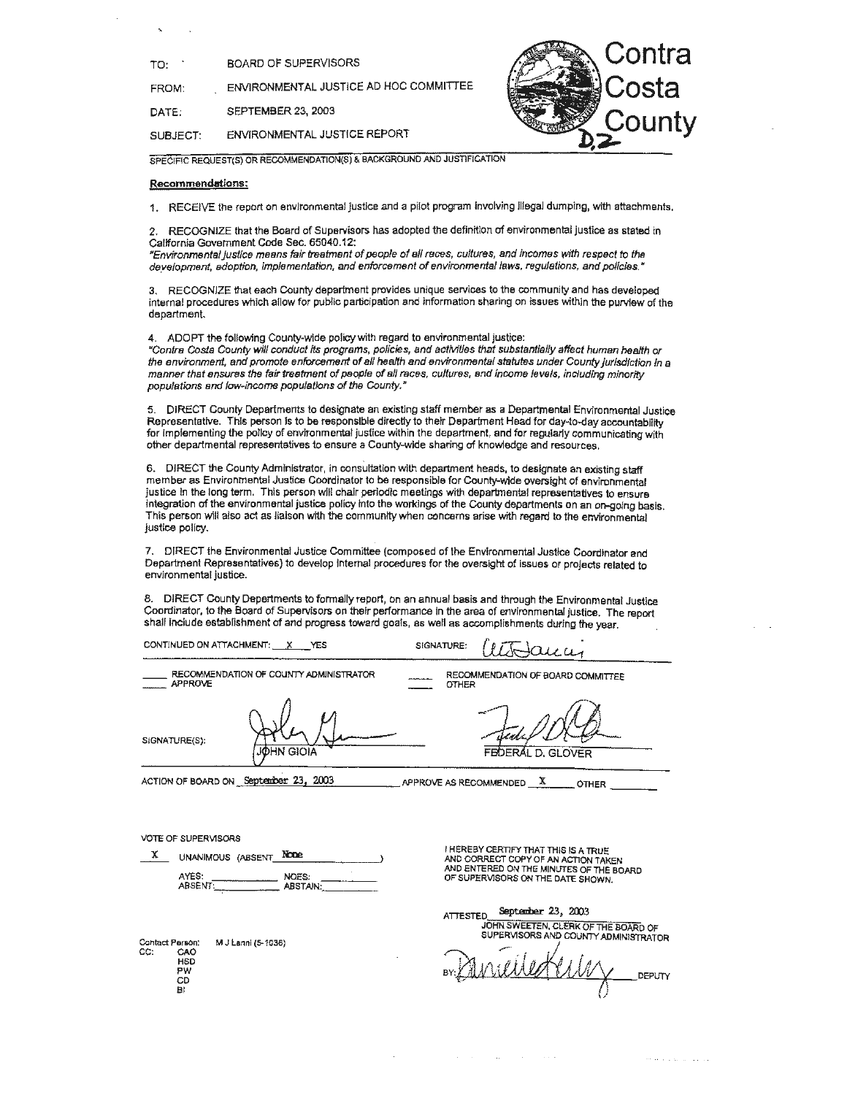FROM: ENVIRONMENTAL JUSTICE AD HOC COMMITTEE

DATE: SEPTEMBER 23, 2003

SUBJECT: ENVIRONMENTAL JUSTICE REPORT



SPECIFIC REQUEST(S) OR RECOMMENDATION(\$) & BACKGROUND AND JUSTIFICATION

### **Recommendations:**

1. RECEIVE the report on environmental justice and a pilot program Involving illegal dumping, with attachments.

2. RECOGNIZE that the Board of Supervisors has adopted the definition of environmental Justice as stated in Callfornia Government Code Sec. 65040.12:

uEnvironmenta/ Justice means fair treatment of people of all races, cultures, and Incomes with respect to the development, adoption, implementation, and enforcement of environmental laws, regulations, and policies."

RECOGNIZE that each County department provides unique services to the community and has developed internal procedures which allow for public participation and information sharing on issues within the purview of the department.

4. ADOPT the following County-wide policy with regard to environmental justice:

ucontra Costa County w/11 conduct its programs, policies, and activities that substantlally affect human health or the environment, and promote enforcement of all health and environmental statutes under County jurisdiction in a<br>manner that ensures the fair treatment of people of all races, cultures, and income levels, including minorit populations and low-income populations of the County.<sup>2</sup>

5. DIRECT County Departments to designate an existing staff member as a Departmental Environmental Justice Representative. This person ls to be responsible directly to their Department Head for day-to-day accountability for Implementing the policy of environmental justice within the department, and for regularly communicating with other departmental representatives to ensure a County-wide sharing of knowledge and resources.

6. DIRECT the County Administrator, in consultation with department heads, to designate an existing staff member as Environmental Justice Coordinator to be responsible for County-wide oversight of environmental justice In the long term. This person will chair periodic meetings with departmental representatives to ensure integration of the environmental justice policy into the workings of the County departments on an on-going basis. This person will also act as liaison with the community when concerns arise with regard to the environmental justice policy.

7. DIRECT the Environmental Justice Committee (composed of the Environmental Justice Coordinator and Department Representatives} to develop Internal procedures for the oversight of issues or projects related to environmental justice.

DIRECT County Depertments to formally report, on an annual basis and through the Environmental Justice Coordinator, to the Board of Supervisors on their performance In the area of environmental justice. The report shall include establishment of and progress toward goals, as well as accomplishments during the year.

CONTINUED ON ATTACHMENT: \_x \_\_ YES

 $S$ IGNATURE:  $ULJ$  $OLU$ 

RECOMMENDATION OF COUNTY ADMINISTRATOR APPROVE

**JOHN GIOIA** 

RECOMMENDATION OF BOARD COMMITTEE OTHER

Feel DCD

ACTION OF BOARD ON September 23, 2003

APPROVE AS RECOMMENDED  $\overline{X}$  \_\_\_\_\_\_ OTHER

VOTE OF SUPERVISORS

SIGNATURE(S):

| x | UNANIMOUS (ABSENT |  | <b>None</b>              |  |
|---|-------------------|--|--------------------------|--|
|   | AYES:<br>ABSENT:  |  | NOES:<br><b>ABSTAIN:</b> |  |

Contact Person: M J Lanni (5-1036) CC: CAO HSD PW CD 8 i

I HEREBY CERTIFY THAT THIS IS A TRUE<br>AND CORRECT COPY OF AN ACTION TAKEN<br>AND ENTERED ON THE MINUTES OF THE BOARD<br>OF SUPERVISORS ON THE DATE SHOWN.

ATTESTED **Septsmer** 23, 2003 JOHN SWEETEN, CLERK OF THE BOARD OF SUPERVISORS AND COUNTY ADMINISTRATOR

*I* , / DEPUTY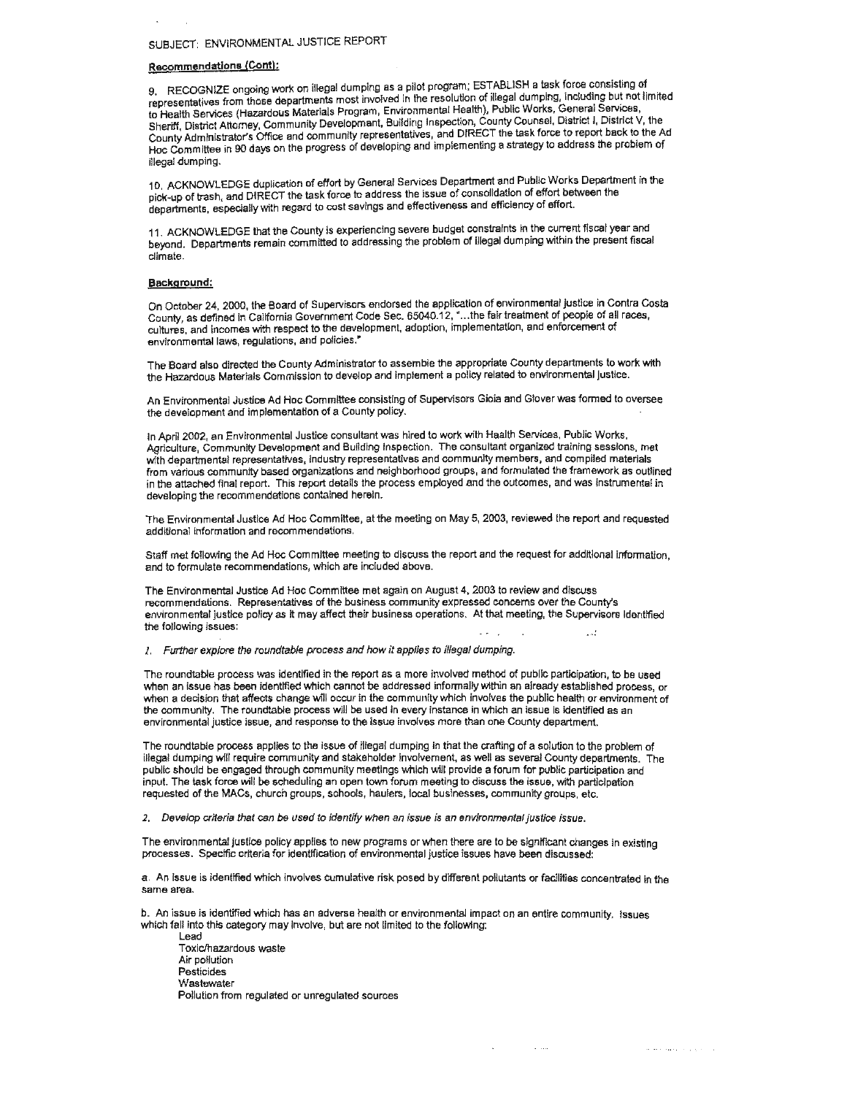# SUBJECT: ENVIRONMENTAL JUSTICE REPORT

## **Recommendations (Cont):**

9. RECOGNIZE ongoing work on illegal dumping as a pilot program; ESTABLISH a task force consisting of representatives from those departments most involved in the resolution of illegal dumping, including but not limited to Health Services (Hazardous Materials Program, Environmental Health), Public Works, General Services, Sheriff, District Attorney, Community Development, Building Inspection, County Counsel, District I, District V, the County Administrator's Office and community representatives, and DIRECT the task force to report back to the Ad Hoc Committee in 90 days on the progress of developing and implementing a strategy to address the problem of illegal dumping.

10. ACKNOWLEDGE duplication of effort by General Services Department and Public Works Department in the pick-up of trash, and DIRECT the task force to address the issue of consolidation of effort between the departments, especially with regard to cost savings and effectiveness and efficiency of effort.

11. ACKNOWLEDGE that the County Is experiencing severe budget constraints in the current fiscal year and beyond. Departments remain committed to addressing the problem of illegal dumping within the present fiscal climate.

### **Background:**

On October **24,** 2000, the Board of Supervisors endorsed the application of environmental justice in Contra Costa County, as defined in California Government Code Sec. 65040.12, • ... the fair treatment of people of all races, cultures, and incomes with respect to the development, adoption, implementation, and enforcement of environmental laws, regulations, and policies."

The Board also directed the County Administrator to assemble the appropriate County departments to work with the Hazardous Materials Commission to develop and implement a policy related to environmental Justice.

An Environmental Justice Ad Hoc Committee consisting of Supervisors Gioia and Glover was formed to oversee the development and implementation of a County policy.

In April 2002, an Environmental Justice consultant was hired to work with Health Services, Public Works, Agriculture, Community Development and Building Inspection. The consultant organized training sessions, met with departmental representatives, industry representatives and community members, and compiled materials from various community based organizations and neighborhood groups, and formulated the framework as outlined in the attached final report. This report details the process employed and the outcomes, and was instrumental in developing the recommendations contained herein.

The Environmental Justice Ad Hoc Committee, at the meeting on May 5, 2003, reviewed the report and requested additional information and recommendations.

Staff met following the Ad Hoc Committee meeting to discuss the report and the request for additional information, and to formulate recommendations, which are included above.

The Environmental Justice Ad Hoc Committee met again on August 4, 2003 to review and discuss recommendations. Representatives of the business community expressed concerns over the County's environmental justice policy as it may affect their business operations. At that meeting, the Supervisors identified the following issues:

1. Further explore the roundtable process and how it applies to illegal dumping.

The roundtable process was identified in the report as a more involved method of public participation, to be used when an issue has been identified which cannot be addressed informally within an already established process, or when a decision that affects change will occur in the community which involves the public health or environment of the community. The roundtable process will be used in every instance in which an issue is identified as an environmental justice issue, and response to the issue involves more than one County department.

The roundtable process applies to the issue of illegal dumping in that the crafting of a solution to the problem of Illegal dumping will require community and stakeholder Involvement, as well as several County departments. The public should be engaged through community meetings which will provide a forum for public participation and input. The task force will be scheduling an open town forum meeting to discuss the issue, with participation requested of the MACs, church groups, schools, haulers, local businesses, community groups, etc.

2. Develop criteria that can be used to identify when an issue is an environmental justice issue.

The environmental justice policy applies to new programs or when there are to be significant changes in existing processes. Specific criteria for identification of environmental justice issues have been discussed:

a. An issue is identified which involves cumulative risk posed by different pollutants or facilities concentrated in the same area.

 $\sim$   $\sim$ 

so alla salva si parte di

b. An issue is identified which has an adverse health or environmental impact on an entire community. Issues which fall into this category may Involve, but are not limited to the following:

Lead Toxic/hazardous waste Air pollution Pesticides **Wastewater** Pollution from regulated or unregulated sources